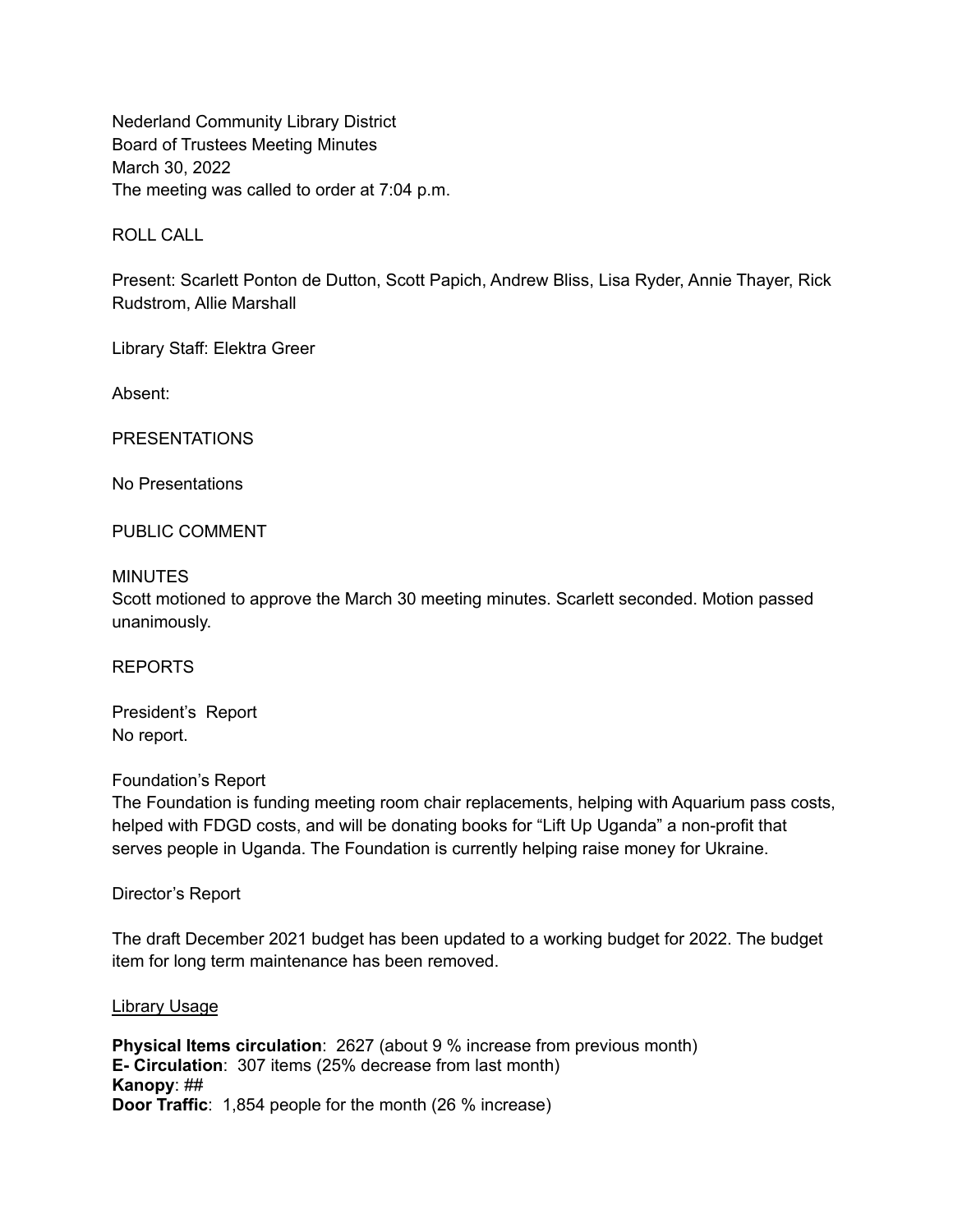Nederland Community Library District Board of Trustees Meeting Minutes March 30, 2022 The meeting was called to order at 7:04 p.m.

ROLL CALL

Present: Scarlett Ponton de Dutton, Scott Papich, Andrew Bliss, Lisa Ryder, Annie Thayer, Rick Rudstrom, Allie Marshall

Library Staff: Elektra Greer

Absent:

PRESENTATIONS

No Presentations

PUBLIC COMMENT

#### **MINUTES**

Scott motioned to approve the March 30 meeting minutes. Scarlett seconded. Motion passed unanimously.

REPORTS

President's Report No report.

#### Foundation's Report

The Foundation is funding meeting room chair replacements, helping with Aquarium pass costs, helped with FDGD costs, and will be donating books for "Lift Up Uganda" a non-profit that serves people in Uganda. The Foundation is currently helping raise money for Ukraine.

Director's Report

The draft December 2021 budget has been updated to a working budget for 2022. The budget item for long term maintenance has been removed.

#### Library Usage

**Physical Items circulation**: 2627 (about 9 % increase from previous month) **E- Circulation**: 307 items (25% decrease from last month) **Kanopy**: ## **Door Traffic**: 1,854 people for the month (26 % increase)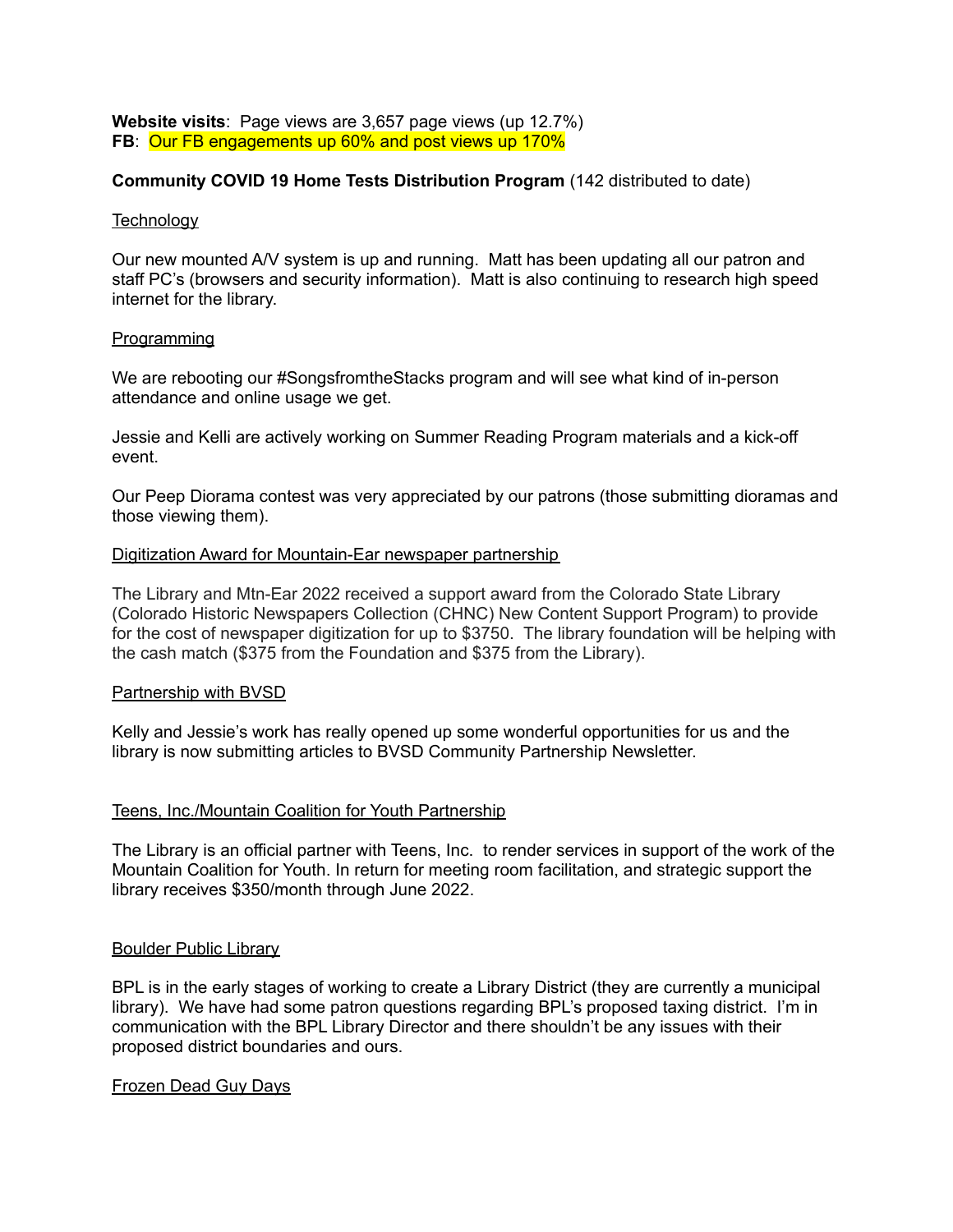**Website visits**: Page views are 3,657 page views (up 12.7%) **FB**: Our FB engagements up 60% and post views up 170%

## **Community COVID 19 Home Tests Distribution Program** (142 distributed to date)

### **Technology**

Our new mounted A/V system is up and running. Matt has been updating all our patron and staff PC's (browsers and security information). Matt is also continuing to research high speed internet for the library.

### Programming

We are rebooting our #SongsfromtheStacks program and will see what kind of in-person attendance and online usage we get.

Jessie and Kelli are actively working on Summer Reading Program materials and a kick-off event.

Our Peep Diorama contest was very appreciated by our patrons (those submitting dioramas and those viewing them).

### Digitization Award for Mountain-Ear newspaper partnership

The Library and Mtn-Ear 2022 received a support award from the Colorado State Library (Colorado Historic Newspapers Collection (CHNC) New Content Support Program) to provide for the cost of newspaper digitization for up to \$3750. The library foundation will be helping with the cash match (\$375 from the Foundation and \$375 from the Library).

## Partnership with BVSD

Kelly and Jessie's work has really opened up some wonderful opportunities for us and the library is now submitting articles to BVSD Community Partnership Newsletter.

## Teens, Inc./Mountain Coalition for Youth Partnership

The Library is an official partner with Teens, Inc. to render services in support of the work of the Mountain Coalition for Youth. In return for meeting room facilitation, and strategic support the library receives \$350/month through June 2022.

#### Boulder Public Library

BPL is in the early stages of working to create a Library District (they are currently a municipal library). We have had some patron questions regarding BPL's proposed taxing district. I'm in communication with the BPL Library Director and there shouldn't be any issues with their proposed district boundaries and ours.

## Frozen Dead Guy Days